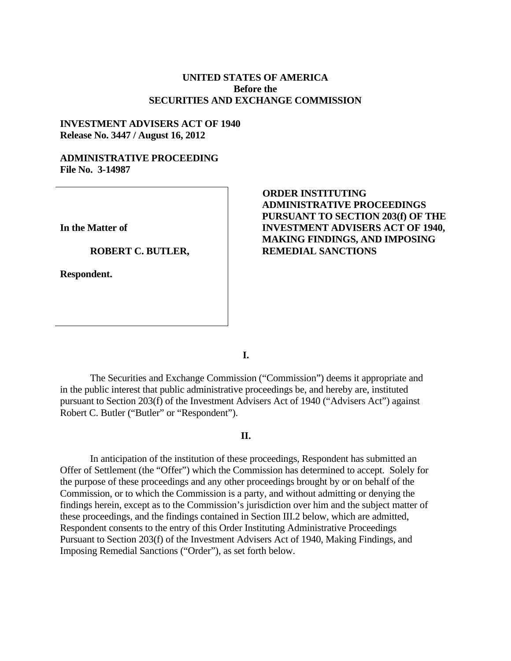# **UNITED STATES OF AMERICA Before the SECURITIES AND EXCHANGE COMMISSION**

### **INVESTMENT ADVISERS ACT OF 1940 Release No. 3447 / August 16, 2012**

# **ADMINISTRATIVE PROCEEDING File No. 3-14987**

**In the Matter of** 

#### **ROBERT C. BUTLER,**

**Respondent.** 

# **ORDER INSTITUTING ADMINISTRATIVE PROCEEDINGS PURSUANT TO SECTION 203(f) OF THE INVESTMENT ADVISERS ACT OF 1940, MAKING FINDINGS, AND IMPOSING REMEDIAL SANCTIONS**

**I.** 

The Securities and Exchange Commission ("Commission") deems it appropriate and in the public interest that public administrative proceedings be, and hereby are, instituted pursuant to Section 203(f) of the Investment Advisers Act of 1940 ("Advisers Act") against Robert C. Butler ("Butler" or "Respondent").

#### **II.**

In anticipation of the institution of these proceedings, Respondent has submitted an Offer of Settlement (the "Offer") which the Commission has determined to accept. Solely for the purpose of these proceedings and any other proceedings brought by or on behalf of the Commission, or to which the Commission is a party, and without admitting or denying the findings herein, except as to the Commission's jurisdiction over him and the subject matter of these proceedings, and the findings contained in Section III.2 below, which are admitted, Respondent consents to the entry of this Order Instituting Administrative Proceedings Pursuant to Section 203(f) of the Investment Advisers Act of 1940, Making Findings, and Imposing Remedial Sanctions ("Order"), as set forth below.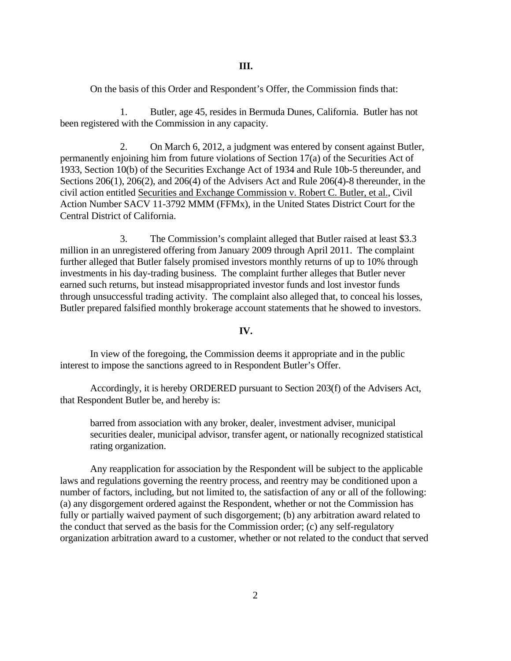On the basis of this Order and Respondent's Offer, the Commission finds that:

1. Butler, age 45, resides in Bermuda Dunes, California. Butler has not been registered with the Commission in any capacity.

2. On March 6, 2012, a judgment was entered by consent against Butler, permanently enjoining him from future violations of Section 17(a) of the Securities Act of 1933, Section 10(b) of the Securities Exchange Act of 1934 and Rule 10b-5 thereunder, and Sections 206(1), 206(2), and 206(4) of the Advisers Act and Rule 206(4)-8 thereunder, in the civil action entitled Securities and Exchange Commission v. Robert C. Butler, et al., Civil Action Number SACV 11-3792 MMM (FFMx), in the United States District Court for the Central District of California.

3. The Commission's complaint alleged that Butler raised at least \$3.3 million in an unregistered offering from January 2009 through April 2011. The complaint further alleged that Butler falsely promised investors monthly returns of up to 10% through investments in his day-trading business. The complaint further alleges that Butler never earned such returns, but instead misappropriated investor funds and lost investor funds through unsuccessful trading activity. The complaint also alleged that, to conceal his losses, Butler prepared falsified monthly brokerage account statements that he showed to investors.

**IV.** 

In view of the foregoing, the Commission deems it appropriate and in the public interest to impose the sanctions agreed to in Respondent Butler's Offer.

Accordingly, it is hereby ORDERED pursuant to Section 203(f) of the Advisers Act, that Respondent Butler be, and hereby is:

barred from association with any broker, dealer, investment adviser, municipal securities dealer, municipal advisor, transfer agent, or nationally recognized statistical rating organization.

Any reapplication for association by the Respondent will be subject to the applicable laws and regulations governing the reentry process, and reentry may be conditioned upon a number of factors, including, but not limited to, the satisfaction of any or all of the following: (a) any disgorgement ordered against the Respondent, whether or not the Commission has fully or partially waived payment of such disgorgement; (b) any arbitration award related to the conduct that served as the basis for the Commission order; (c) any self-regulatory organization arbitration award to a customer, whether or not related to the conduct that served